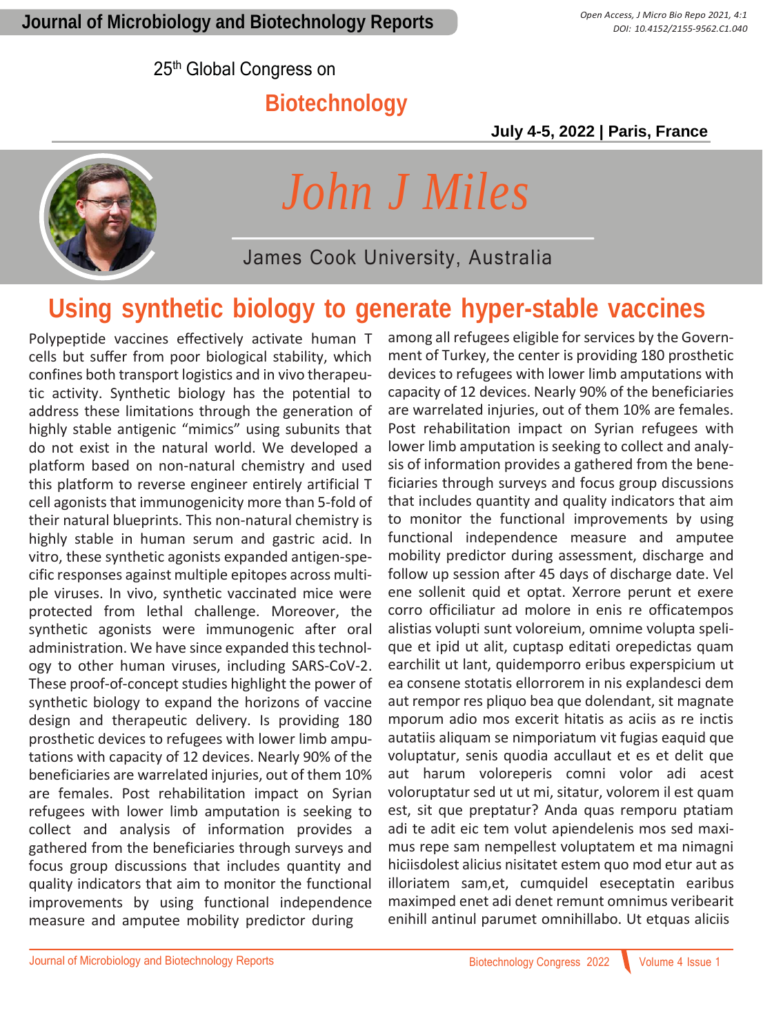25th Global Congress on

### **Biotechnology**

 **July 4-5, 2022 | Paris, France**



*John J Miles*

James Cook University, Australia

## **Using synthetic biology to generate hyper-stable vaccines**

Polypeptide vaccines effectively activate human T cells but suffer from poor biological stability, which confines both transport logistics and in vivo therapeutic activity. Synthetic biology has the potential to address these limitations through the generation of highly stable antigenic "mimics" using subunits that do not exist in the natural world. We developed a platform based on non-natural chemistry and used this platform to reverse engineer entirely artificial T cell agonists that immunogenicity more than 5-fold of their natural blueprints. This non-natural chemistry is highly stable in human serum and gastric acid. In vitro, these synthetic agonists expanded antigen-specific responses against multiple epitopes across multiple viruses. In vivo, synthetic vaccinated mice were protected from lethal challenge. Moreover, the synthetic agonists were immunogenic after oral administration. We have since expanded this technology to other human viruses, including SARS-CoV-2. These proof-of-concept studies highlight the power of synthetic biology to expand the horizons of vaccine design and therapeutic delivery. Is providing 180 prosthetic devices to refugees with lower limb amputations with capacity of 12 devices. Nearly 90% of the beneficiaries are warrelated injuries, out of them 10% are females. Post rehabilitation impact on Syrian refugees with lower limb amputation is seeking to collect and analysis of information provides a gathered from the beneficiaries through surveys and focus group discussions that includes quantity and quality indicators that aim to monitor the functional improvements by using functional independence measure and amputee mobility predictor during

among all refugees eligible for services by the Government of Turkey, the center is providing 180 prosthetic devices to refugees with lower limb amputations with capacity of 12 devices. Nearly 90% of the beneficiaries are warrelated injuries, out of them 10% are females. Post rehabilitation impact on Syrian refugees with lower limb amputation is seeking to collect and analysis of information provides a gathered from the beneficiaries through surveys and focus group discussions that includes quantity and quality indicators that aim to monitor the functional improvements by using functional independence measure and amputee mobility predictor during assessment, discharge and follow up session after 45 days of discharge date. Vel ene sollenit quid et optat. Xerrore perunt et exere corro officiliatur ad molore in enis re officatempos alistias volupti sunt voloreium, omnime volupta spelique et ipid ut alit, cuptasp editati orepedictas quam earchilit ut lant, quidemporro eribus experspicium ut ea consene stotatis ellorrorem in nis explandesci dem aut rempor res pliquo bea que dolendant, sit magnate mporum adio mos excerit hitatis as aciis as re inctis autatiis aliquam se nimporiatum vit fugias eaquid que voluptatur, senis quodia accullaut et es et delit que aut harum voloreperis comni volor adi acest voloruptatur sed ut ut mi, sitatur, volorem il est quam est, sit que preptatur? Anda quas remporu ptatiam adi te adit eic tem volut apiendelenis mos sed maximus repe sam nempellest voluptatem et ma nimagni hiciisdolest alicius nisitatet estem quo mod etur aut as illoriatem sam,et, cumquidel eseceptatin earibus maximped enet adi denet remunt omnimus veribearit enihill antinul parumet omnihillabo. Ut etquas aliciis